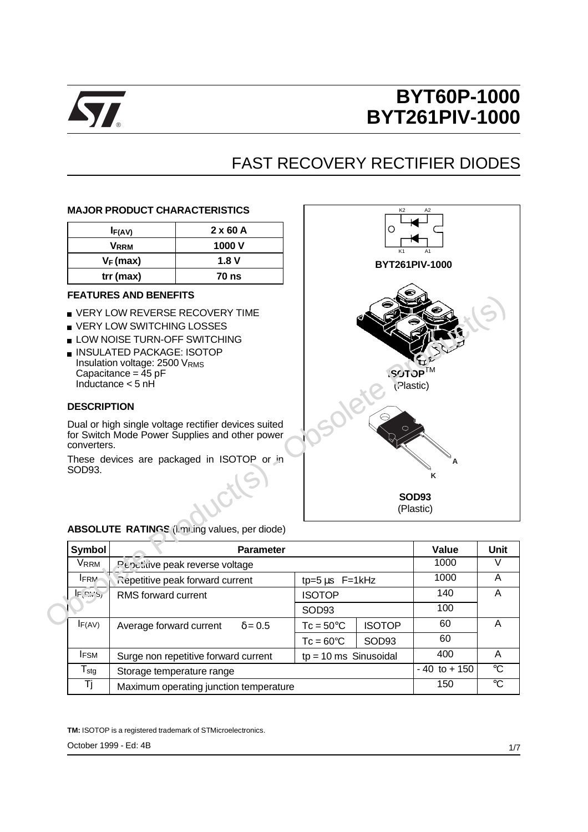

## FAST RECOVERY RECTIFIER DIODES

#### **MAJOR PRODUCT CHARACTERISTICS**

| IF(AV)      | $2 \times 60$ A |
|-------------|-----------------|
| <b>VRRM</b> | 1000 V          |
| $V_F$ (max) | 1.8V            |
| $trr$ (max) | 70 ns           |

#### **FEATURES AND BENEFITS**

- **VERY LOW REVERSE RECOVERY TIME**
- **U VERY LOW SWITCHING LOSSES**
- **LOW NOISE TURN-OFF SWITCHING**
- **INSULATED PACKAGE: ISOTOP** Insulation voltage: 2500 VRMS Capacitance =  $\overline{4}5$  pF Inductance < 5 nH

### **DESCRIPTION**

Dual or high single voltage rectifier devices suited for Switch Mode Power Supplies and other power converters.

These devices are packaged in ISOTOP or in SOD93.



| Symbol                       | <b>Parameter</b>                                                  | Value                               | <b>Unit</b>       |      |             |
|------------------------------|-------------------------------------------------------------------|-------------------------------------|-------------------|------|-------------|
| VRRM                         | Pepetidve peak reverse voltage                                    | 1000                                |                   |      |             |
| <b>IFRM</b>                  | Repetitive peak forward current<br>tp= $5 \mu s$ F= $1 \kappa$ Hz |                                     |                   | 1000 | Α           |
| IF PMS                       | <b>RMS</b> forward current                                        | <b>ISOTOP</b>                       |                   | 140  | A           |
|                              |                                                                   | SOD <sub>93</sub>                   |                   |      |             |
| IF(AV)                       | Average forward current<br>$\delta$ = 0.5                         | <b>ISOTOP</b><br>$Tc = 50^{\circ}C$ |                   |      |             |
|                              |                                                                   | $Tc = 60^{\circ}C$                  | SOD <sub>93</sub> | 60   |             |
| <b>IFSM</b>                  | Surge non repetitive forward current                              | $tp = 10$ ms Sinusoidal             |                   | 400  | Α           |
| ${\mathsf T}_{\textsf{stg}}$ | Storage temperature range                                         | $-40$ to $+150$                     | $^{\circ}C$       |      |             |
| Τi                           | Maximum operating junction temperature                            |                                     |                   | 150  | $^{\circ}C$ |

#### **ABSOLUTE RATINGS** (I.mi ing values, per diode)

**TM:** ISOTOP is a registered trademark of STMicroelectronics.

October 1999 - Ed: 4B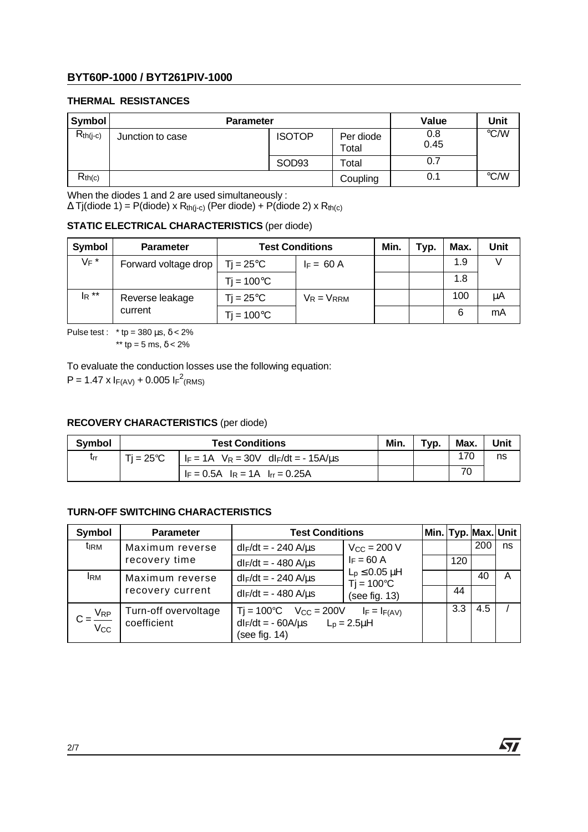## **THERMAL RESISTANCES**

| Symbol        |                  | <b>Parameter</b> |                    | Value       | Unit                    |
|---------------|------------------|------------------|--------------------|-------------|-------------------------|
| $R_{th(i-c)}$ | Junction to case | <b>ISOTOP</b>    | Per diode<br>Total | 0.8<br>0.45 | °C/W                    |
|               |                  | SOD93            | Total              | 0.7         |                         |
| $R_{th(c)}$   |                  |                  | Coupling           | 0.1         | $\mathrm{C}/\mathrm{W}$ |

When the diodes 1 and 2 are used simultaneously :

 $\Delta$  Tj(diode 1) = P(diode) x R<sub>th(j-c</sub>) (Per diode) + P(diode 2) x R<sub>th(c)</sub>

## **STATIC ELECTRICAL CHARACTERISTICS** (per diode)

| Symbol   | <b>Parameter</b>     | <b>Test Conditions</b> |                 | Min. | Typ. | Max. | Unit |
|----------|----------------------|------------------------|-----------------|------|------|------|------|
| $V_F$ *  | Forward voltage drop | Ti = 25°C $\,$         | $F = 60 A$      |      |      | 1.9  |      |
|          |                      | $Ti = 100^{\circ}C$    |                 |      |      | 1.8  |      |
| $I_R$ ** | Reverse leakage      | $Ti = 25^{\circ}C$     | $V_R = V_{RRM}$ |      |      | 100  | μA   |
|          | current              | $Ti = 100^{\circ}C$    |                 |      |      | 6    | mΑ   |

#### **RECOVERY CHARACTERISTICS** (per diode)

| <b>Symbol</b> |           | Min.                                                                        | Typ. | Max. | Unit |    |
|---------------|-----------|-----------------------------------------------------------------------------|------|------|------|----|
| trr           | Ti = 25°C | $ $ I <sub>F</sub> = 1A V <sub>R</sub> = 30V dI <sub>F</sub> /dt = - 15A/us |      |      | 17C  | ns |
|               |           | $F = 0.5A$ $R = 1A$ $Irr = 0.25A$                                           |      |      |      |    |

## **TURN-OFF SWITCHING CHARACTERISTICS**

| $IR$ $\degree$ |                                                                                | $Tj = 25^{\circ}C$<br>$V_R = V_{RRM}$<br>Reverse leakage |                                                               |                        |                                      | 100  |      | μA   |                     |      |
|----------------|--------------------------------------------------------------------------------|----------------------------------------------------------|---------------------------------------------------------------|------------------------|--------------------------------------|------|------|------|---------------------|------|
|                | current                                                                        |                                                          | $Ti = 100^{\circ}C$                                           |                        |                                      |      |      | 6    |                     | mA   |
|                | Pulse test : * tp = $380 \mu s$ , $\delta$ < 2%<br>** tp = 5 ms, $\delta$ < 2% |                                                          |                                                               |                        |                                      |      |      |      |                     |      |
|                |                                                                                |                                                          | To evaluate the conduction losses use the following equation: |                        |                                      |      |      |      |                     |      |
|                | P = 1.47 x $I_{F(AV)}$ + 0.005 $I_{F}^2$ (RMS)                                 |                                                          |                                                               |                        |                                      |      |      |      |                     |      |
|                |                                                                                |                                                          |                                                               |                        |                                      |      |      |      |                     |      |
|                | <b>RECOVERY CHARACTERISTICS (per diode)</b>                                    |                                                          |                                                               |                        |                                      |      |      |      |                     |      |
| Symbol         |                                                                                |                                                          | <b>Test Conditions</b>                                        |                        |                                      | Min. | Typ. | Max. |                     | Unit |
| $t_{rr}$       | $Ti = 25^{\circ}C$                                                             |                                                          | $I_F = 1A$ $V_R = 30V$ dl $F/dt = -15A/\mu s$                 |                        |                                      |      |      | 170  |                     | ns   |
|                |                                                                                |                                                          | $I_F = 0.5A$ $I_R = 1A$ $I_{rr} = 0.25A$                      |                        |                                      |      |      | 70   |                     |      |
|                |                                                                                |                                                          |                                                               |                        |                                      |      |      |      |                     |      |
|                | TURN-OFF SWITCHING CHARACTERISTICS                                             |                                                          |                                                               |                        |                                      |      |      |      |                     |      |
| Symbol         |                                                                                |                                                          |                                                               |                        |                                      |      |      |      |                     |      |
| tirm           | <b>Parameter</b>                                                               |                                                          |                                                               | <b>Test Conditions</b> |                                      |      |      |      | Min. Typ. Max. Unit |      |
|                | Maximum reverse                                                                |                                                          | $dl_F/dt = -240$ A/ $\mu s$                                   |                        | $V_{\rm CC}$ = 200 V                 |      |      |      | 200                 | ns   |
|                | recovery time                                                                  |                                                          | $dI_F/dt = -480$ A/ $\mu$ s                                   |                        | $I_F = 60 A$                         |      |      | 120  |                     |      |
| <b>IRM</b>     | Maximum reverse                                                                |                                                          | $dl_F/dt = -240 A/\mu s$                                      |                        | $L_p \leq 0.05$ $\mu$ H              |      |      |      | 40                  | A    |
|                | recovery current                                                               |                                                          | $dI_F/dt = -480 A/\mu s$                                      |                        | $Ti = 100^{\circ}C$<br>(see fig. 13) |      |      | 44   |                     |      |
| $V_{RP}$       | Turn-off overvoltage                                                           |                                                          | $Tj = 100^{\circ}C$ $V_{CC} = 200V$ $I_F = I_{F(AV)}$         |                        |                                      |      |      | 3.3  | 4.5                 |      |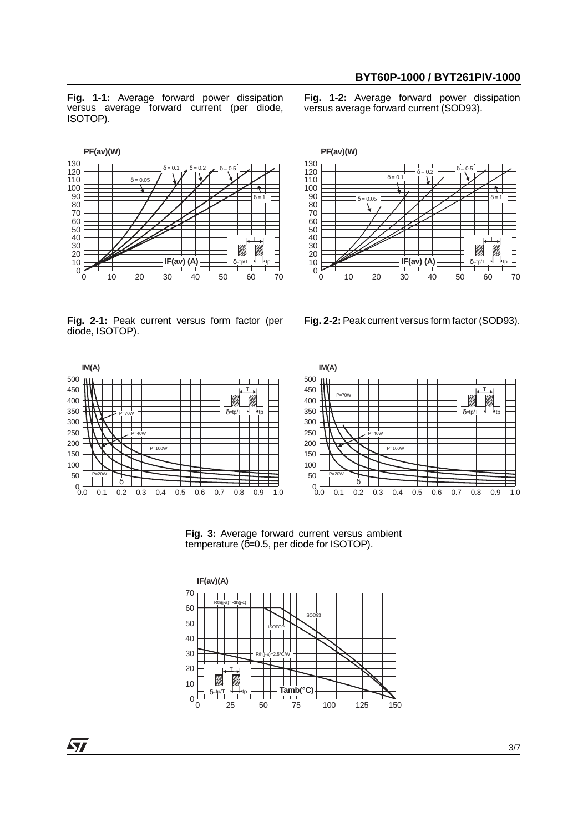$\delta = 0.2$   $\rightarrow$   $\delta = 0.5$ 

**Fig. 1-1:** Average forward power dissipation versus average forward current (per diode, ISOTOP).

**Fig. 1-2:** Average forward power dissipation versus average forward current (SOD93).



**Fig. 2-1:** Peak current versus form factor (per diode, ISOTOP).





**Fig. 2-2:** Peak current versus form factor (SOD93).



**Fig. 3:** Average forward current versus ambient temperature ( $\delta = 0.5$ , per diode for ISOTOP).

120 130 **PF(av)(W)**



57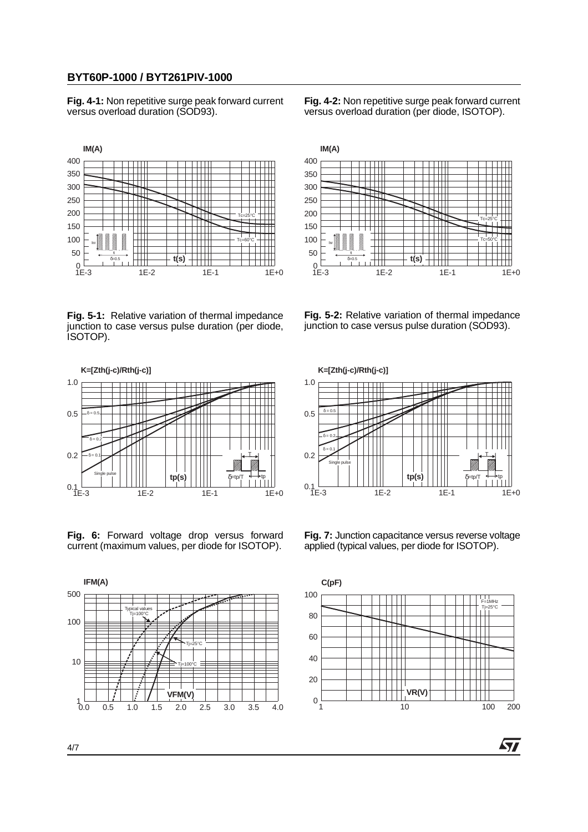**Fig. 4-1:** Non repetitive surge peak forward current versus overload duration (SOD93).

**Fig. 4-2:** Non repetitive surge peak forward current versus overload duration (per diode, ISOTOP).



**Fig. 5-1:** Relative variation of thermal impedance junction to case versus pulse duration (per diode, ISOTOP).



**Fig. 6:** Forward voltage drop versus forward current (maximum values, per diode for ISOTOP).





**Fig. 5-2:** Relative variation of thermal impedance junction to case versus pulse duration (SOD93).



**Fig. 7:** Junction capacitance versus reverse voltage applied (typical values, per diode for ISOTOP).



4/7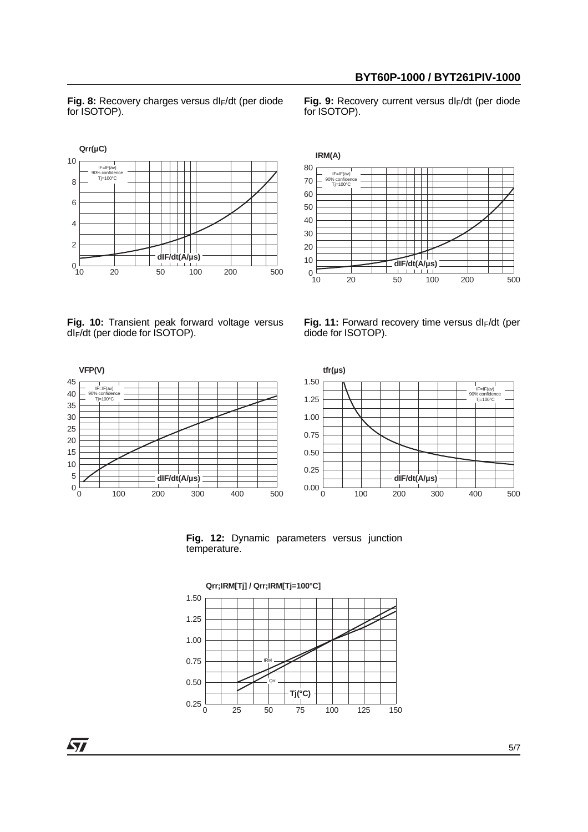Fig. 8: Recovery charges versus dl<sub>F</sub>/dt (per diode for ISOTOP).

Fig. 9: Recovery current versus dl<sub>F</sub>/dt (per diode for ISOTOP).





**Fig. 10:** Transient peak forward voltage versus dIF/dt (per diode for ISOTOP).







**Fig. 12:** Dynamic parameters versus junction temperature.



57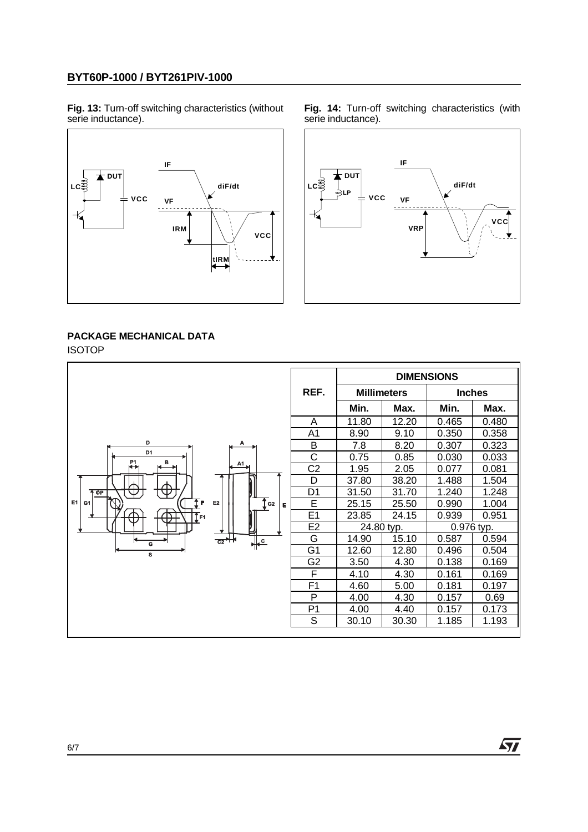**Fig. 13:** Turn-off switching characteristics (without serie inductance).







## **PACKAGE MECHANICAL DATA**

|    |                         |                    |            | <b>DIMENSIONS</b> |            |
|----|-------------------------|--------------------|------------|-------------------|------------|
|    | REF.                    | <b>Millimeters</b> |            | <b>Inches</b>     |            |
|    |                         | Min.               | Max.       | Min.              | Max.       |
|    | Α                       | 11.80              | 12.20      | 0.465             | 0.480      |
|    | A <sub>1</sub>          | 8.90               | 9.10       | 0.350             | 0.358      |
| A  | B                       | 7.8                | 8.20       | 0.307             | 0.323      |
|    | C                       | 0.75               | 0.85       | 0.030             | 0.033      |
| A1 | C <sub>2</sub>          | 1.95               | 2.05       | 0.077             | 0.081      |
|    | D                       | 37.80              | 38.20      | 1.488             | 1.504      |
|    | D <sub>1</sub>          | 31.50              | 31.70      | 1.240             | 1.248      |
|    | Ē                       | 25.15              | 25.50      | 0.990             | 1.004      |
|    | E <sub>1</sub>          | 23.85              | 24.15      | 0.939             | 0.951      |
|    | E <sub>2</sub>          |                    | 24.80 typ. |                   | 0.976 typ. |
|    | G                       | 14.90              | 15.10      | 0.587             | 0.594      |
|    | G <sub>1</sub>          | 12.60              | 12.80      | 0.496             | 0.504      |
|    | G <sub>2</sub>          | 3.50               | 4.30       | 0.138             | 0.169      |
|    | $\overline{\mathsf{F}}$ | 4.10               | 4.30       | 0.161             | 0.169      |
|    | $\overline{F1}$         | 4.60               | 5.00       | 0.181             | 0.197      |
|    | P                       | 4.00               | 4.30       | 0.157             | 0.69       |
|    | P <sub>1</sub>          | 4.00               | 4.40       | 0.157             | 0.173      |
|    | S                       | 30.10              | 30.30      | 1.185             | 1.193      |